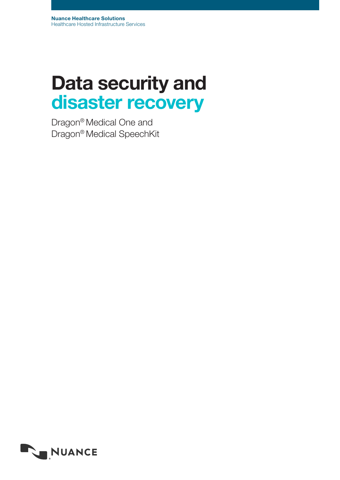# Data security and disaster recovery

Dragon® Medical One and Dragon® Medical SpeechKit

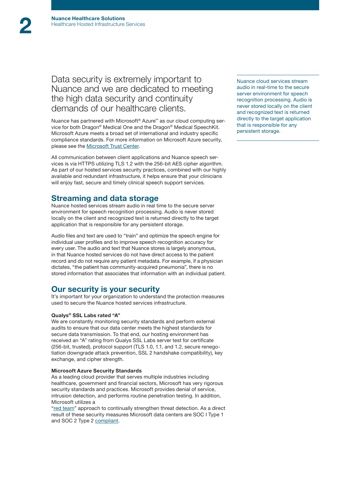## Data security is extremely important to Nuance and we are dedicated to meeting the high data security and continuity demands of our healthcare clients.

Nuance has partnered with Microsoft® Azure™ as our cloud computing service for both Dragon® Medical One and the Dragon® Medical SpeechKit. Microsoft Azure meets a broad set of international and industry specific compliance standards. For more information on Microsoft Azure security, please see the [Microsoft Trust Center.](http://www.microsoft.com/en-us/TrustCenter/default.aspx)

All communication between client applications and Nuance speech services is via HTTPS utilizing TLS 1.2 with the 256-bit AES cipher algorithm. As part of our hosted services security practices, combined with our highly available and redundant infrastructure, it helps ensure that your clinicians will enjoy fast, secure and timely clinical speech support services.

### Streaming and data storage

Nuance hosted services stream audio in real time to the secure server environment for speech recognition processing. Audio is never stored locally on the client and recognized text is returned directly to the target application that is responsible for any persistent storage.

Audio files and text are used to "train" and optimize the speech engine for individual user profiles and to improve speech recognition accuracy for every user. The audio and text that Nuance stores is largely anonymous, in that Nuance hosted services do not have direct access to the patient record and do not require any patient metadata. For example, if a physician dictates, "the patient has community-acquired pneumonia", there is no stored information that associates that information with an individual patient.

## Our security is your security

It's important for your organization to understand the protection measures used to secure the Nuance hosted services infrastructure.

#### Qualys® SSL Labs rated "A"

We are constantly monitoring security standards and perform external audits to ensure that our data center meets the highest standards for secure data transmission. To that end, our hosting environment has received an "A" rating from Qualys SSL Labs server test for certificate (256-bit, trusted), protocol support (TLS 1.0, 1.1, and 1.2, secure renegotiation downgrade attack prevention, SSL 2 handshake compatibility), key exchange, and cipher strength.

#### Microsoft Azure Security Standards

As a leading cloud provider that serves multiple industries including healthcare, government and financial sectors, Microsoft has very rigorous security standards and practices. Microsoft provides denial of service, intrusion detection, and performs routine penetration testing. In addition, Microsoft utilizes a

"[red team](http://www.azure.microsoft.com/en-us/blog/red-teaming-using-cutting-edge-threat-simulation-to-harden-the-microsoft-enterprise-cloud/)" approach to continually strengthen threat detection. As a direct result of these security measures Microsoft data centers are SOC I Type 1 and SOC 2 Type 2 [compliant](https://www.microsoft.com/en-us/TrustCenter/Compliance/SOC1-and-2).

Nuance cloud services stream audio in real-time to the secure server environment for speech recognition processing. Audio is never stored locally on the client and recognized text is returned directly to the target application that is responsible for any persistent storage.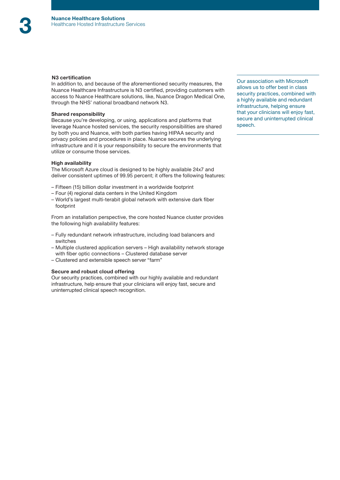#### N3 certification

In addition to, and because of the aforementioned security measures, the Nuance Healthcare Infrastructure is N3 certified, providing customers with access to Nuance Healthcare solutions, like, Nuance Dragon Medical One, through the NHS' national broadband network N3.

#### Shared responsibility

Because you're developing, or using, applications and platforms that leverage Nuance hosted services, the security responsibilities are shared by both you and Nuance, with both parties having HIPAA security and privacy policies and procedures in place. Nuance secures the underlying infrastructure and it is your responsibility to secure the environments that utilize or consume those services.

#### High availability

The Microsoft Azure cloud is designed to be highly available 24x7 and deliver consistent uptimes of 99.95 percent; it offers the following features:

- Fifteen (15) billion dollar investment in a worldwide footprint
- Four (4) regional data centers in the United Kingdom
- World's largest multi-terabit global network with extensive dark fiber footprint

From an installation perspective, the core hosted Nuance cluster provides the following high availability features:

- Fully redundant network infrastructure, including load balancers and switches
- Multiple clustered application servers High availability network storage with fiber optic connections – Clustered database server
- Clustered and extensible speech server "farm"

#### Secure and robust cloud offering

Our security practices, combined with our highly available and redundant infrastructure, help ensure that your clinicians will enjoy fast, secure and uninterrupted clinical speech recognition.

Our association with Microsoft allows us to offer best in class security practices, combined with a highly available and redundant infrastructure, helping ensure that your clinicians will enjoy fast, secure and uninterrupted clinical speech.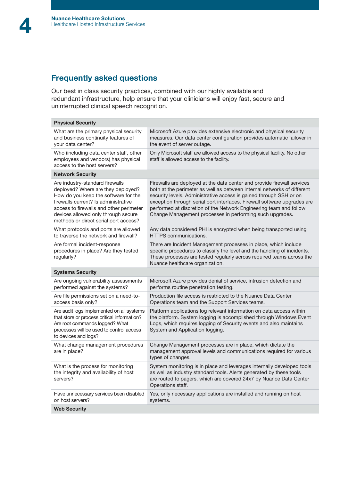# Frequently asked questions

Our best in class security practices, combined with our highly available and redundant infrastructure, help ensure that your clinicians will enjoy fast, secure and uninterrupted clinical speech recognition.

| <b>Physical Security</b>                                                                                                                                                                                                                                                         |                                                                                                                                                                                                                                                                                                                                                                                                                                        |  |
|----------------------------------------------------------------------------------------------------------------------------------------------------------------------------------------------------------------------------------------------------------------------------------|----------------------------------------------------------------------------------------------------------------------------------------------------------------------------------------------------------------------------------------------------------------------------------------------------------------------------------------------------------------------------------------------------------------------------------------|--|
| What are the primary physical security<br>and business continuity features of<br>your data center?                                                                                                                                                                               | Microsoft Azure provides extensive electronic and physical security<br>measures. Our data center configuration provides automatic failover in<br>the event of server outage.                                                                                                                                                                                                                                                           |  |
| Who (including data center staff, other<br>employees and vendors) has physical<br>access to the host servers?                                                                                                                                                                    | Only Microsoft staff are allowed access to the physical facility. No other<br>staff is allowed access to the facility.                                                                                                                                                                                                                                                                                                                 |  |
| <b>Network Security</b>                                                                                                                                                                                                                                                          |                                                                                                                                                                                                                                                                                                                                                                                                                                        |  |
| Are industry-standard firewalls<br>deployed? Where are they deployed?<br>How do you keep the software for the<br>firewalls current? Is administrative<br>access to firewalls and other perimeter<br>devices allowed only through secure<br>methods or direct serial port access? | Firewalls are deployed at the data center and provide firewall services<br>both at the perimeter as well as between internal networks of different<br>security levels. Administrative access is gained through SSH or on<br>exception through serial port interfaces. Firewall software upgrades are<br>performed at discretion of the Network Engineering team and follow<br>Change Management processes in performing such upgrades. |  |
| What protocols and ports are allowed<br>to traverse the network and firewall?                                                                                                                                                                                                    | Any data considered PHI is encrypted when being transported using<br>HTTPS communications.                                                                                                                                                                                                                                                                                                                                             |  |
| Are formal incident-response<br>procedures in place? Are they tested<br>regularly?                                                                                                                                                                                               | There are Incident Management processes in place, which include<br>specific procedures to classify the level and the handling of incidents.<br>These processes are tested regularly across required teams across the<br>Nuance healthcare organization.                                                                                                                                                                                |  |
| <b>Systems Security</b>                                                                                                                                                                                                                                                          |                                                                                                                                                                                                                                                                                                                                                                                                                                        |  |
| Are ongoing vulnerability assessments<br>performed against the systems?                                                                                                                                                                                                          | Microsoft Azure provides denial of service, intrusion detection and<br>performs routine penetration testing.                                                                                                                                                                                                                                                                                                                           |  |
| Are file permissions set on a need-to-<br>access basis only?                                                                                                                                                                                                                     | Production file access is restricted to the Nuance Data Center<br>Operations team and the Support Services teams.                                                                                                                                                                                                                                                                                                                      |  |
| Are audit logs implemented on all systems<br>that store or process critical information?<br>Are root commands logged? What<br>processes will be used to control access<br>to devices and logs?                                                                                   | Platform applications log relevant information on data access within<br>the platform. System logging is accomplished through Windows Event<br>Logs, which requires logging of Security events and also maintains<br>System and Application logging.                                                                                                                                                                                    |  |
| What change management procedures<br>are in place?                                                                                                                                                                                                                               | Change Management processes are in place, which dictate the<br>management approval levels and communications required for various<br>types of changes.                                                                                                                                                                                                                                                                                 |  |
| What is the process for monitoring<br>the integrity and availability of host<br>servers?                                                                                                                                                                                         | System monitoring is in place and leverages internally developed tools<br>as well as industry standard tools. Alerts generated by these tools<br>are routed to pagers, which are covered 24x7 by Nuance Data Center<br>Operations staff.                                                                                                                                                                                               |  |
| Have unnecessary services been disabled<br>on host servers?                                                                                                                                                                                                                      | Yes, only necessary applications are installed and running on host<br>systems.                                                                                                                                                                                                                                                                                                                                                         |  |
|                                                                                                                                                                                                                                                                                  |                                                                                                                                                                                                                                                                                                                                                                                                                                        |  |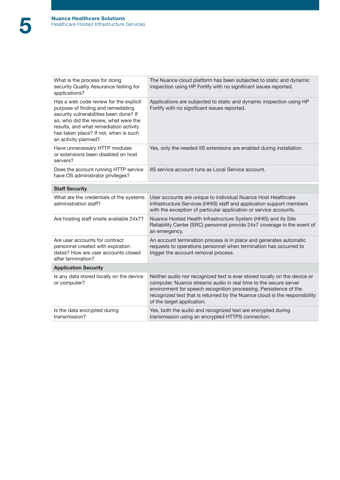| What is the process for doing<br>security Quality Assurance testing for<br>applications?                                                                                                                                                                                   | The Nuance cloud platform has been subjected to static and dynamic<br>inspection using HP Fortify with no significant issues reported.                                                                                                                                                                                         |
|----------------------------------------------------------------------------------------------------------------------------------------------------------------------------------------------------------------------------------------------------------------------------|--------------------------------------------------------------------------------------------------------------------------------------------------------------------------------------------------------------------------------------------------------------------------------------------------------------------------------|
| Has a web code review for the explicit<br>purpose of finding and remediating<br>security vulnerabilities been done? If<br>so, who did the review, what were the<br>results, and what remediation activity<br>has taken place? If not, when is such<br>an activity planned? | Applications are subjected to static and dynamic inspection using HP<br>Fortify with no significant issues reported.                                                                                                                                                                                                           |
| Have unnecessary HTTP modules<br>or extensions been disabled on host<br>servers?                                                                                                                                                                                           | Yes, only the needed IIS extensions are enabled during installation.                                                                                                                                                                                                                                                           |
| Does the account running HTTP service<br>have OS administrator privileges?                                                                                                                                                                                                 | IIS service account runs as Local Service account.                                                                                                                                                                                                                                                                             |
| <b>Staff Security</b>                                                                                                                                                                                                                                                      |                                                                                                                                                                                                                                                                                                                                |
| What are the credentials of the systems<br>administration staff?                                                                                                                                                                                                           | User accounts are unique to individual Nuance Host Healthcare<br>Infrastructure Services (HHIS) staff and application support members<br>with the exception of particular application or service accounts.                                                                                                                     |
| Are hosting staff onsite available 24x7?                                                                                                                                                                                                                                   | Nuance Hosted Health Infrastructure System (HHIS) and its Site<br>Reliability Center (SRC) personnel provide 24x7 coverage in the event of<br>an emergency.                                                                                                                                                                    |
| Are user accounts for contract<br>personnel created with expiration<br>dates? How are user accounts closed<br>after termination?                                                                                                                                           | An account termination process is in place and generates automatic<br>requests to operations personnel when termination has occurred to<br>trigger the account removal process.                                                                                                                                                |
| <b>Application Security</b>                                                                                                                                                                                                                                                |                                                                                                                                                                                                                                                                                                                                |
| Is any data stored locally on the device<br>or computer?                                                                                                                                                                                                                   | Neither audio nor recognized text is ever stored locally on the device or<br>computer. Nuance streams audio in real time to the secure server<br>environment for speech recognition processing. Persistence of the<br>recognized text that is returned by the Nuance cloud is the responsibility<br>of the target application. |
| Is the data encrypted during<br>transmission?                                                                                                                                                                                                                              | Yes, both the audio and recognized text are encrypted during<br>transmission using an encrypted HTTPS connection.                                                                                                                                                                                                              |